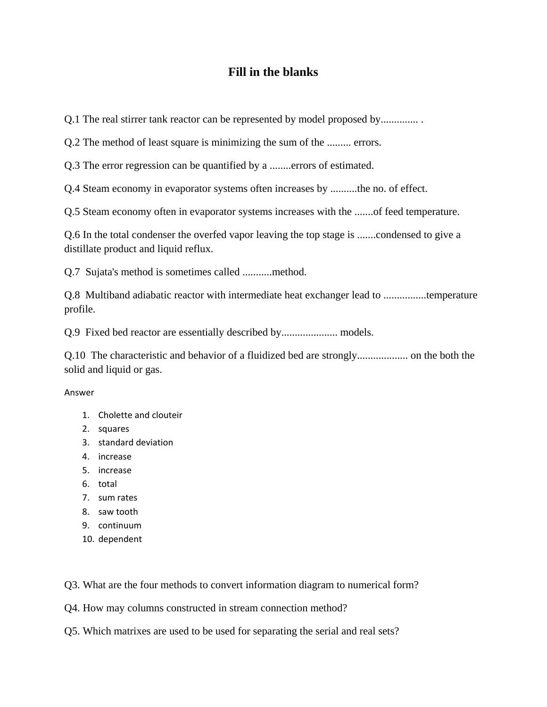## **Fill in the blanks**

Q.1 The real stirrer tank reactor can be represented by model proposed by...............

Q.2 The method of least square is minimizing the sum of the ......... errors.

Q.3 The error regression can be quantified by a ........errors of estimated.

Q.4 Steam economy in evaporator systems often increases by ..........the no. of effect.

Q.5 Steam economy often in evaporator systems increases with the .......of feed temperature.

Q.6 In the total condenser the overfed vapor leaving the top stage is .......condensed to give a distillate product and liquid reflux.

Q.7 Sujata's method is sometimes called ...........method.

Q.8 Multiband adiabatic reactor with intermediate heat exchanger lead to ................temperature profile.

Q.9 Fixed bed reactor are essentially described by..................... models.

Q.10 The characteristic and behavior of a fluidized bed are strongly................... on the both the solid and liquid or gas.

## Answer

- 1. Cholette and clouteir
- 2. squares
- 3. standard deviation
- 4. increase
- 5. increase
- 6. total
- 7. sum rates
- 8. saw tooth
- 9. continuum
- 10. dependent

Q3. What are the four methods to convert information diagram to numerical form?

Q4. How may columns constructed in stream connection method?

Q5. Which matrixes are used to be used for separating the serial and real sets?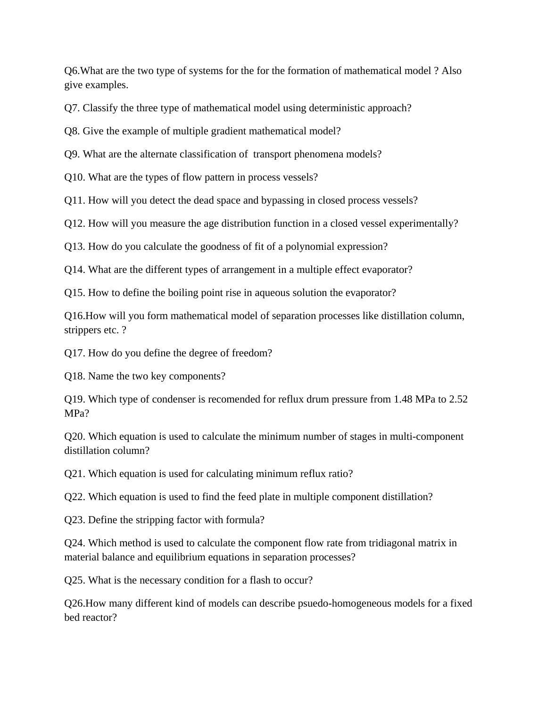Q6.What are the two type of systems for the for the formation of mathematical model ? Also give examples.

Q7. Classify the three type of mathematical model using deterministic approach?

Q8. Give the example of multiple gradient mathematical model?

Q9. What are the alternate classification of transport phenomena models?

Q10. What are the types of flow pattern in process vessels?

Q11. How will you detect the dead space and bypassing in closed process vessels?

Q12. How will you measure the age distribution function in a closed vessel experimentally?

Q13. How do you calculate the goodness of fit of a polynomial expression?

Q14. What are the different types of arrangement in a multiple effect evaporator?

Q15. How to define the boiling point rise in aqueous solution the evaporator?

Q16.How will you form mathematical model of separation processes like distillation column, strippers etc. ?

Q17. How do you define the degree of freedom?

Q18. Name the two key components?

Q19. Which type of condenser is recomended for reflux drum pressure from 1.48 MPa to 2.52 MPa?

Q20. Which equation is used to calculate the minimum number of stages in multi-component distillation column?

Q21. Which equation is used for calculating minimum reflux ratio?

Q22. Which equation is used to find the feed plate in multiple component distillation?

Q23. Define the stripping factor with formula?

Q24. Which method is used to calculate the component flow rate from tridiagonal matrix in material balance and equilibrium equations in separation processes?

Q25. What is the necessary condition for a flash to occur?

Q26.How many different kind of models can describe psuedo-homogeneous models for a fixed bed reactor?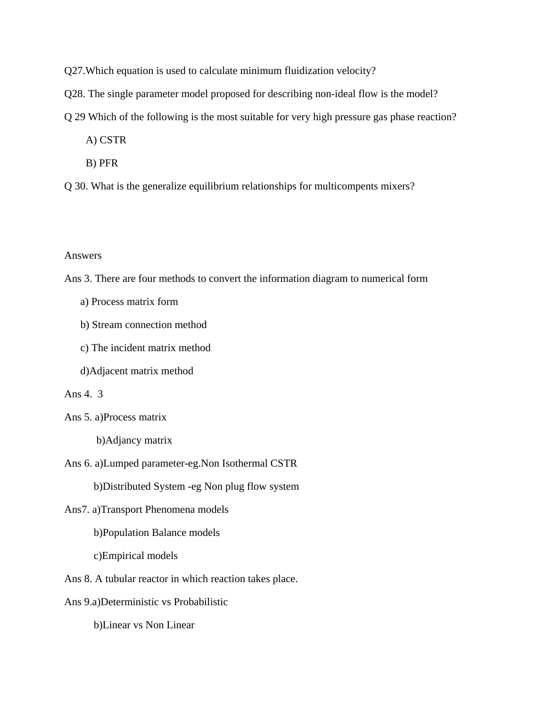Q27.Which equation is used to calculate minimum fluidization velocity?

- Q28. The single parameter model proposed for describing non-ideal flow is the model?
- Q 29 Which of the following is the most suitable for very high pressure gas phase reaction?
	- A) CSTR
	- B) PFR
- Q 30. What is the generalize equilibrium relationships for multicompents mixers?

## Answers

- Ans 3. There are four methods to convert the information diagram to numerical form
	- a) Process matrix form
	- b) Stream connection method
	- c) The incident matrix method
	- d)Adjacent matrix method

## Ans 4. 3

Ans 5. a)Process matrix

b)Adjancy matrix

Ans 6. a)Lumped parameter-eg.Non Isothermal CSTR

b)Distributed System -eg Non plug flow system

Ans7. a)Transport Phenomena models

b)Population Balance models

c)Empirical models

Ans 8. A tubular reactor in which reaction takes place.

Ans 9.a)Deterministic vs Probabilistic

b)Linear vs Non Linear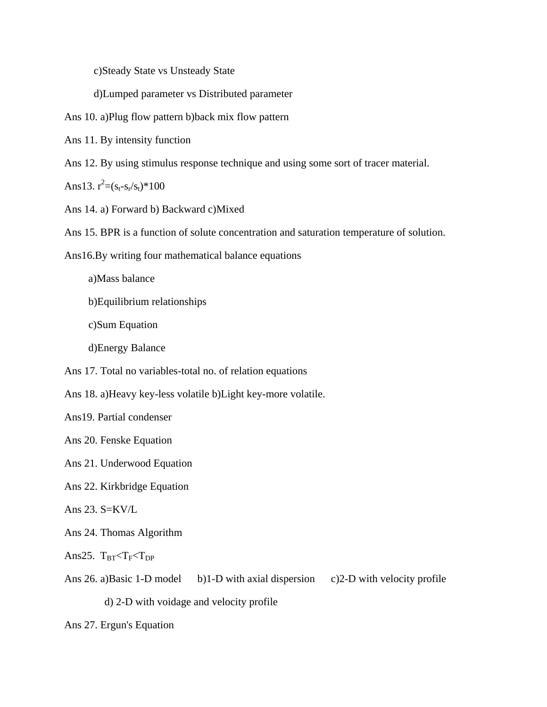c)Steady State vs Unsteady State

d)Lumped parameter vs Distributed parameter

Ans 10. a)Plug flow pattern b)back mix flow pattern

Ans 11. By intensity function

Ans 12. By using stimulus response technique and using some sort of tracer material.

Ans13.  $r^2 = (s_t - s_r/s_t)^* 100$ 

Ans 14. a) Forward b) Backward c)Mixed

Ans 15. BPR is a function of solute concentration and saturation temperature of solution.

Ans16.By writing four mathematical balance equations

a)Mass balance

b)Equilibrium relationships

c)Sum Equation

d)Energy Balance

Ans 17. Total no variables-total no. of relation equations

Ans 18. a)Heavy key-less volatile b)Light key-more volatile.

Ans19. Partial condenser

Ans 20. Fenske Equation

Ans 21. Underwood Equation

Ans 22. Kirkbridge Equation

Ans  $23.$  S=KV/L

Ans 24. Thomas Algorithm

Ans25.  $T_{BT} < T_F < T_{DP}$ 

Ans 26. a)Basic 1-D model b)1-D with axial dispersion c)2-D with velocity profile

d) 2-D with voidage and velocity profile

Ans 27. Ergun's Equation